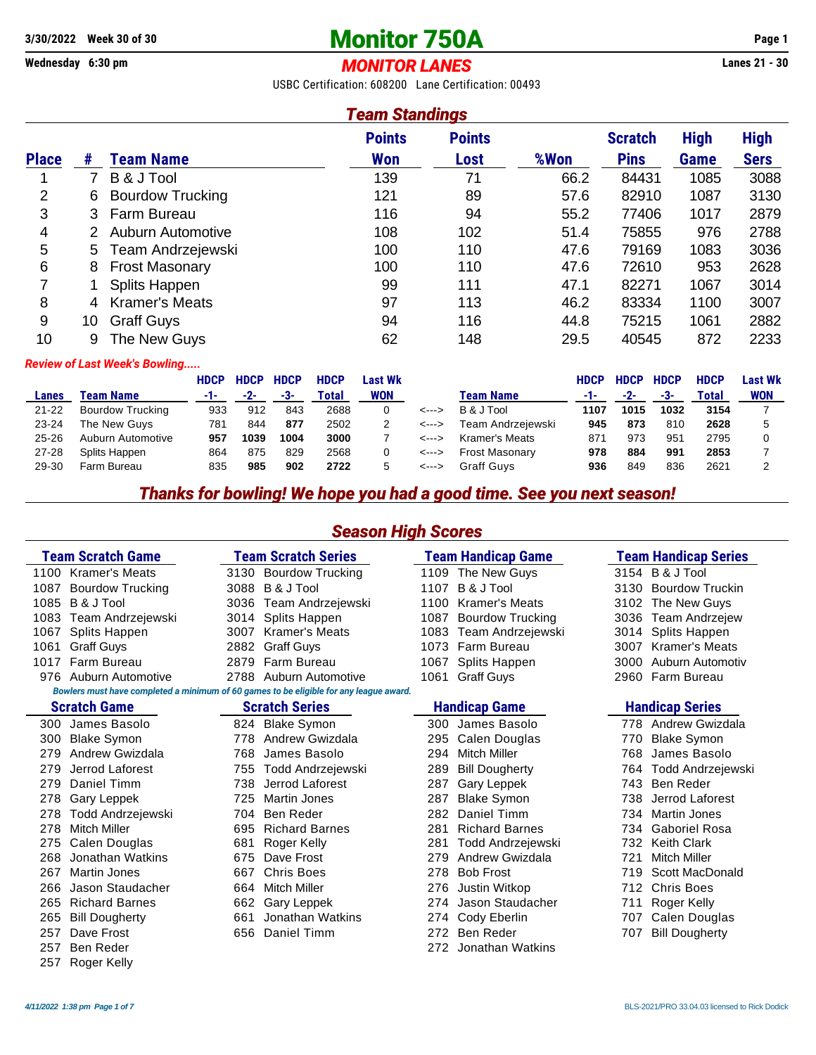## **3/30/2022 Week 30 of 30 Monitor 750A Page 1**

#### **Wednesday 6:30 pm** *MONITOR LANES* **Lanes 21 - 30**

USBC Certification: 608200 Lane Certification: 00493

#### *Team Standings*

|              |    |                          | <b>Points</b> | <b>Points</b> |      | <b>Scratch</b> | <b>High</b> | <b>High</b> |
|--------------|----|--------------------------|---------------|---------------|------|----------------|-------------|-------------|
| <b>Place</b> | #  | Team Name                | <b>Won</b>    | Lost          | %Won | <b>Pins</b>    | <b>Game</b> | <b>Sers</b> |
|              |    | B & J Tool               | 139           | 71            | 66.2 | 84431          | 1085        | 3088        |
| 2            | 6  | <b>Bourdow Trucking</b>  | 121           | 89            | 57.6 | 82910          | 1087        | 3130        |
| 3            | 3  | Farm Bureau              | 116           | 94            | 55.2 | 77406          | 1017        | 2879        |
| 4            |    | <b>Auburn Automotive</b> | 108           | 102           | 51.4 | 75855          | 976         | 2788        |
| 5            | 5  | Team Andrzejewski        | 100           | 110           | 47.6 | 79169          | 1083        | 3036        |
| 6            | 8  | <b>Frost Masonary</b>    | 100           | 110           | 47.6 | 72610          | 953         | 2628        |
| 7            |    | Splits Happen            | 99            | 111           | 47.1 | 82271          | 1067        | 3014        |
| 8            | 4  | <b>Kramer's Meats</b>    | 97            | 113           | 46.2 | 83334          | 1100        | 3007        |
| 9            | 10 | <b>Graff Guys</b>        | 94            | 116           | 44.8 | 75215          | 1061        | 2882        |
| 10           | 9  | The New Guys             | 62            | 148           | 29.5 | 40545          | 872         | 2233        |

#### *Review of Last Week's Bowling.....*

|           |                         | <b>HDCP</b> | <b>HDCP</b> | <b>HDCP</b> | <b>HDCP</b> | Last Wk    |       |                       | <b>HDCP</b> | <b>HDCP</b> | <b>HDCP</b> | <b>HDCP</b> | <b>Last Wk</b> |
|-----------|-------------------------|-------------|-------------|-------------|-------------|------------|-------|-----------------------|-------------|-------------|-------------|-------------|----------------|
| Lanes     | Team Name               | -1-         | $-2-$       | -3-         | Total       | <b>WON</b> |       | <b>Team Name</b>      | -1-         | $-2-$       | -3-         | Total       | <b>WON</b>     |
| $21 - 22$ | <b>Bourdow Trucking</b> | 933         | 912         | 843         | 2688        |            | <---> | B & J Tool            | 1107        | 1015        | 1032        | 3154        |                |
| $23 - 24$ | The New Guys            | 781         | 844         | 877         | 2502        |            | <---> | Team Andrzeiewski     | 945         | 873         | 810         | 2628        |                |
| $25 - 26$ | Auburn Automotive       | 957         | 1039        | 1004        | 3000        |            | <---> | Kramer's Meats        | 871         | 973         | 951         | 2795        |                |
| $27 - 28$ | Splits Happen           | 864         | 875         | 829         | 2568        |            | <---> | <b>Frost Masonary</b> | 978         | 884         | 991         | 2853        |                |
| 29-30     | Farm Bureau             | 835         | 985         | 902         | 2722        | 5          | <---> | Graff Guvs            | 936         | 849         | 836         | 2621        |                |

#### *Thanks for bowling! We hope you had a good time. See you next season!*

*Season High Scores*

#### **Team Scratch Game Team Scratch Series Team Handicap Game Team Handicap Series** 1100 Kramer's Meats 3130 Bourdow Trucking 1109 The New Guys 3154 B & J Tool 1087 Bourdow Trucking 3088 B & J Tool 1107 B & J Tool 3130 Bourdow Truckin 1085 B & J Tool 3036 Team Andrzejewski 1100 Kramer's Meats 3102 The New Guys 1083 Team Andrzejewski 3014 Splits Happen 1087 Bourdow Trucking 3036 Team Andrzejew 1067 Splits Happen 3007 Kramer's Meats 1083 Team Andrzejewski 1061 Graff Guys 2882 Graff Guys 1073 Farm Bureau 3007 Kramer's Meats 1017 Farm Bureau 2879 Farm Bureau 1067 Splits Happen 3000 Auburn Automotiv 976 Auburn Automotive 2788 Auburn Automotive 1061 Graff Guys 2960 Farm Bureau *Bowlers must have completed a minimum of 60 games to be eligible for any league award.* **Scratch Game Scratch Series Handicap Game Handicap Series**

- 300 James Basolo 824 Blake Symon 300 James Basolo 778 Andrew Gwizdala 300 Blake Symon 778 Andrew Gwizdala 295 Calen Douglas 770 Blake Symon 279 Jerrod Laforest 755 Todd Andrzejewski 289 Bill Dougherty 764 Todd Andrzejewski 267 Martin Jones 667 Chris Boes 278 Bob Frost 719 Scott MacDonald
	-
	-
	-
- 279 Andrew Gwizdala **768 James Basolo** 
	- 279 Daniel Timm 738 Jerrod Laforest 287 Gary Leppek 743 Ben Reder 278 Gary Leppek 725 Martin Jones 287 Blake Symon 738 Jerrod Laforest 278 Todd Andrzejewski 704 Ben Reder 282 Daniel Timm 734 Martin Jones 278 Mitch Miller 695 Richard Barnes 281 Richard Barnes 734 Gaboriel Rosa 275 Calen Douglas 681 Roger Kelly 281 Todd Andrzejewski 732 Keith Clark 268 Jonathan Watkins 675 Dave Frost 279 Andrew Gwizdala 721 Mitch Miller 266 Jason Staudacher 664 Mitch Miller 276 Justin Witkop 712 Chris Boes 265 Richard Barnes 662 Gary Leppek 274 Jason Staudacher 711 Roger Kelly 265 Bill Dougherty 661 Jonathan Watkins 274 Cody Eberlin 707 Calen Douglas 257 Dave Frost 656 Daniel Timm 272 Ben Reder 707 Bill Dougherty
	- 257 Ben Reder 272 Jonathan Watkins 257 Roger Kelly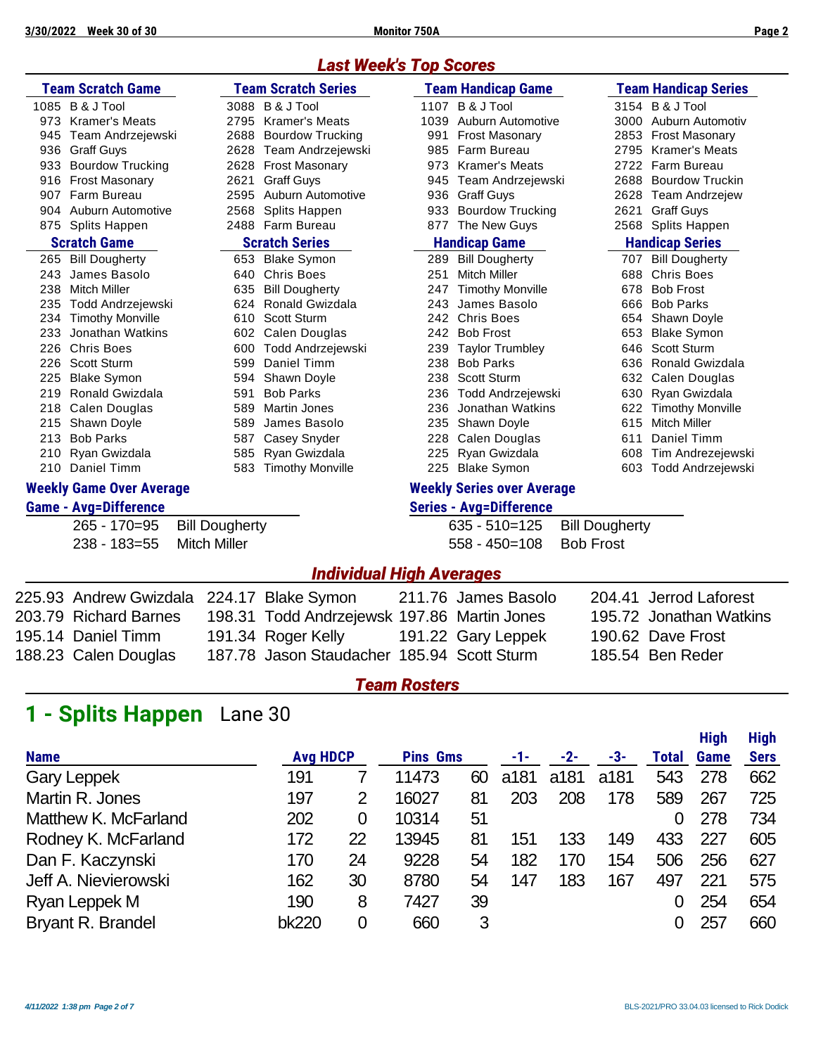## *Last Week's Top Scores*

| <b>Team Scratch Game</b><br><b>Team Scratch Series</b> |                                 |      |                         | <b>Team Handicap Game</b> |                                   | <b>Team Handicap Series</b> |                         |
|--------------------------------------------------------|---------------------------------|------|-------------------------|---------------------------|-----------------------------------|-----------------------------|-------------------------|
|                                                        | 1085 B & J Tool                 |      | 3088 B & J Tool         |                           | 1107 B & J Tool                   |                             | 3154 B & J Tool         |
| 973                                                    | <b>Kramer's Meats</b>           | 2795 | <b>Kramer's Meats</b>   | 1039                      | Auburn Automotive                 |                             | 3000 Auburn Automotiv   |
| 945                                                    | Team Andrzejewski               | 2688 | <b>Bourdow Trucking</b> | 991                       | <b>Frost Masonary</b>             | 2853                        | <b>Frost Masonary</b>   |
| 936                                                    | <b>Graff Guys</b>               | 2628 | Team Andrzejewski       | 985                       | Farm Bureau                       | 2795                        | <b>Kramer's Meats</b>   |
| 933                                                    | <b>Bourdow Trucking</b>         | 2628 | <b>Frost Masonary</b>   | 973                       | <b>Kramer's Meats</b>             | 2722                        | Farm Bureau             |
| 916                                                    | <b>Frost Masonary</b>           | 2621 | <b>Graff Guys</b>       | 945                       | Team Andrzejewski                 | 2688                        | <b>Bourdow Truckin</b>  |
| 907                                                    | Farm Bureau                     | 2595 | Auburn Automotive       | 936                       | <b>Graff Guys</b>                 | 2628                        | Team Andrzejew          |
| 904                                                    | <b>Auburn Automotive</b>        | 2568 | Splits Happen           | 933                       | <b>Bourdow Trucking</b>           | 2621                        | <b>Graff Guys</b>       |
| 875                                                    | <b>Splits Happen</b>            |      | 2488 Farm Bureau        | 877                       | The New Guys                      | 2568                        | Splits Happen           |
|                                                        | <b>Scratch Game</b>             |      | <b>Scratch Series</b>   |                           | <b>Handicap Game</b>              |                             | <b>Handicap Series</b>  |
| 265                                                    | <b>Bill Dougherty</b>           |      | 653 Blake Symon         | 289                       | <b>Bill Dougherty</b>             | 707                         | <b>Bill Dougherty</b>   |
| 243                                                    | James Basolo                    | 640  | <b>Chris Boes</b>       | 251                       | <b>Mitch Miller</b>               | 688                         | <b>Chris Boes</b>       |
| 238                                                    | <b>Mitch Miller</b>             | 635  | <b>Bill Dougherty</b>   | 247                       | <b>Timothy Monville</b>           | 678                         | <b>Bob Frost</b>        |
| 235                                                    | Todd Andrzejewski               | 624  | Ronald Gwizdala         | 243                       | James Basolo                      | 666                         | <b>Bob Parks</b>        |
| 234                                                    | <b>Timothy Monville</b>         | 610  | <b>Scott Sturm</b>      | 242                       | <b>Chris Boes</b>                 | 654                         | Shawn Doyle             |
| 233                                                    | Jonathan Watkins                | 602  | Calen Douglas           | 242                       | <b>Bob Frost</b>                  | 653                         | <b>Blake Symon</b>      |
| 226                                                    | <b>Chris Boes</b>               | 600  | Todd Andrzejewski       | 239                       | <b>Taylor Trumbley</b>            | 646                         | Scott Sturm             |
| 226                                                    | Scott Sturm                     | 599  | Daniel Timm             | 238                       | <b>Bob Parks</b>                  | 636                         | Ronald Gwizdala         |
| 225                                                    | <b>Blake Symon</b>              | 594  | Shawn Doyle             | 238                       | <b>Scott Sturm</b>                | 632                         | Calen Douglas           |
| 219                                                    | <b>Ronald Gwizdala</b>          | 591  | <b>Bob Parks</b>        | 236                       | <b>Todd Andrzejewski</b>          | 630                         | Ryan Gwizdala           |
| 218                                                    | Calen Douglas                   | 589  | <b>Martin Jones</b>     | 236                       | Jonathan Watkins                  | 622                         | <b>Timothy Monville</b> |
| 215                                                    | Shawn Doyle                     | 589  | James Basolo            | 235                       | Shawn Doyle                       | 615                         | <b>Mitch Miller</b>     |
| 213                                                    | <b>Bob Parks</b>                | 587  | Casey Snyder            | 228                       | Calen Douglas                     | 611                         | Daniel Timm             |
| 210                                                    | Ryan Gwizdala                   | 585  | Ryan Gwizdala           | 225                       | Ryan Gwizdala                     | 608                         | Tim Andrezejewski       |
|                                                        | 210 Daniel Timm                 |      | 583 Timothy Monville    | 225                       | <b>Blake Symon</b>                | 603                         | Todd Andrzejewski       |
|                                                        | <b>Weekly Game Over Average</b> |      |                         |                           | <b>Weekly Series over Average</b> |                             |                         |
|                                                        | <b>Game - Avg=Difference</b>    |      |                         |                           | <b>Series - Avg=Difference</b>    |                             |                         |

|                           | 265 - 170=95 Bill Dougherty | 635 - 510=125 Bill Dougherty |  |
|---------------------------|-----------------------------|------------------------------|--|
| 238 - 183=55 Mitch Miller |                             | 558 - 450=108  Bob Frost     |  |

| $635 - 510 = 125$ | <b>Bill Dougherty</b> |
|-------------------|-----------------------|
| $558 - 450 = 108$ | <b>Bob Frost</b>      |

### *Individual High Averages*

| 225.93 Andrew Gwizdala 224.17 Blake Symon |                                             | 211.76 James Basolo | 204.41 Jerrod Laforest  |
|-------------------------------------------|---------------------------------------------|---------------------|-------------------------|
| 203.79 Richard Barnes                     | 198.31 Todd Andrzejewsk 197.86 Martin Jones |                     | 195.72 Jonathan Watkins |
| 195.14 Daniel Timm                        | 191.34 Roger Kelly                          | 191.22 Gary Leppek  | 190.62 Dave Frost       |
| 188.23 Calen Douglas                      | 187.78 Jason Staudacher 185.94 Scott Sturm  |                     | 185.54 Ben Reder        |

#### *Team Rosters*

# **1 - Splits Happen** Lane 30

|                          |                 |                |                 |    |      |       |      |              | <b>High</b> | <b>High</b> |
|--------------------------|-----------------|----------------|-----------------|----|------|-------|------|--------------|-------------|-------------|
| <b>Name</b>              | <b>Avg HDCP</b> |                | <b>Pins Gms</b> |    | -1-  | $-2-$ | -3-  | <b>Total</b> | <b>Game</b> | <b>Sers</b> |
| <b>Gary Leppek</b>       | 191             |                | 11473           | 60 | a181 | a181  | a181 | 543          | 278         | 662         |
| Martin R. Jones          | 197             | $\overline{2}$ | 16027           | 81 | 203  | 208   | 178  | 589          | 267         | 725         |
| Matthew K. McFarland     | 202             | 0              | 10314           | 51 |      |       |      | 0            | 278         | 734         |
| Rodney K. McFarland      | 172             | 22             | 13945           | 81 | 151  | 133   | 149  | 433          | 227         | 605         |
| Dan F. Kaczynski         | 170             | 24             | 9228            | 54 | 182  | 170   | 154  | 506          | 256         | 627         |
| Jeff A. Nievierowski     | 162             | 30             | 8780            | 54 | 147  | 183   | 167  | 497          | 221         | 575         |
| Ryan Leppek M            | 190             | 8              | 7427            | 39 |      |       |      | 0            | 254         | 654         |
| <b>Bryant R. Brandel</b> | bk220           | $\overline{0}$ | 660             | 3  |      |       |      | 0            | 257         | 660         |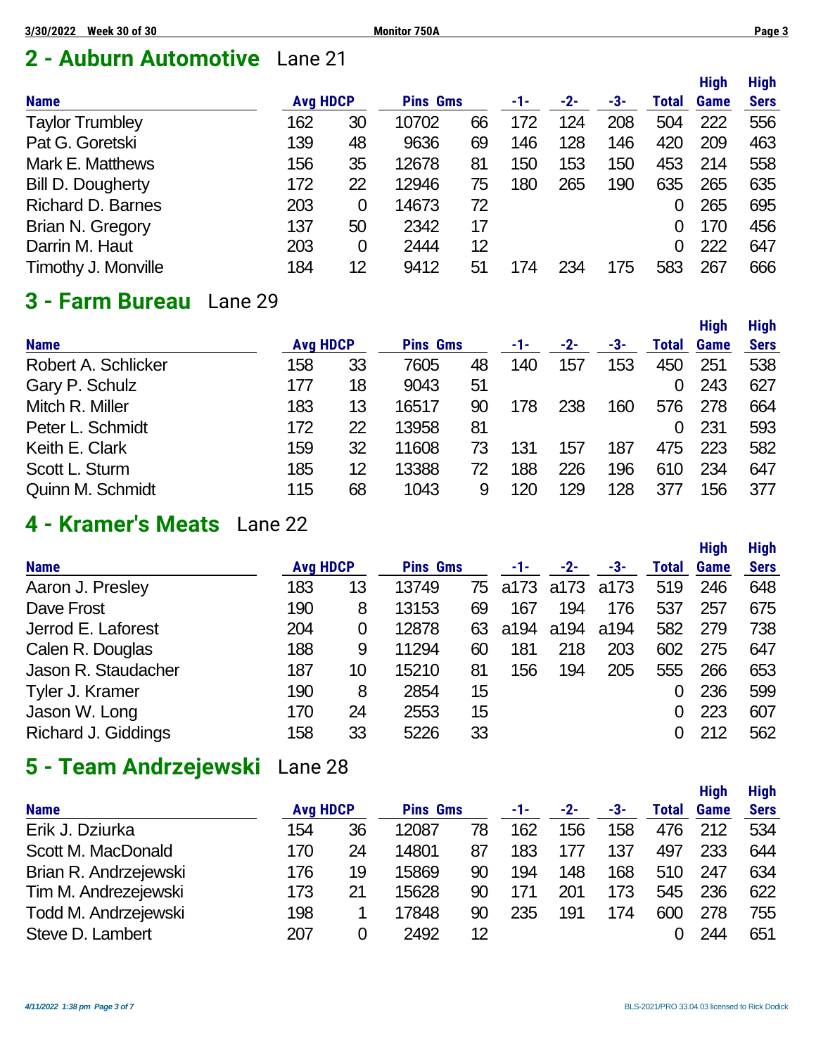## **2 - Auburn Automotive** Lane 21

|                          |                 |    |                 |    |     |       |     |       | <b>High</b> | <b>High</b> |
|--------------------------|-----------------|----|-----------------|----|-----|-------|-----|-------|-------------|-------------|
| <b>Name</b>              | <b>Avg HDCP</b> |    | <b>Pins Gms</b> |    | -1- | $-2-$ | -3- | Total | <b>Game</b> | <b>Sers</b> |
| <b>Taylor Trumbley</b>   | 162             | 30 | 10702           | 66 | 172 | 124   | 208 | 504   | 222         | 556         |
| Pat G. Goretski          | 139             | 48 | 9636            | 69 | 146 | 128   | 146 | 420   | 209         | 463         |
| Mark E. Matthews         | 156             | 35 | 12678           | 81 | 150 | 153   | 150 | 453   | 214         | 558         |
| <b>Bill D. Dougherty</b> | 172             | 22 | 12946           | 75 | 180 | 265   | 190 | 635   | 265         | 635         |
| <b>Richard D. Barnes</b> | 203             | 0  | 14673           | 72 |     |       |     |       | 265         | 695         |
| Brian N. Gregory         | 137             | 50 | 2342            | 17 |     |       |     |       | 170         | 456         |
| Darrin M. Haut           | 203             | 0  | 2444            | 12 |     |       |     |       | 222         | 647         |
| Timothy J. Monville      | 184             | 12 | 9412            | 51 | 174 | 234   | 175 | 583   | 267         | 666         |

## **3 - Farm Bureau** Lane 29

|                     |                 |    |                 |    |     |     |     |       | <b>High</b> | <b>High</b> |
|---------------------|-----------------|----|-----------------|----|-----|-----|-----|-------|-------------|-------------|
| <b>Name</b>         | <b>Avg HDCP</b> |    | <b>Pins Gms</b> |    | -1- | -2- | -3- | Total | Game        | <b>Sers</b> |
| Robert A. Schlicker | 158             | 33 | 7605            | 48 | 140 | 157 | 153 | 450   | 251         | 538         |
| Gary P. Schulz      | 177             | 18 | 9043            | 51 |     |     |     |       | 243         | 627         |
| Mitch R. Miller     | 183             | 13 | 16517           | 90 | 178 | 238 | 160 | 576   | 278         | 664         |
| Peter L. Schmidt    | 172             | 22 | 13958           | 81 |     |     |     | 0     | 231         | 593         |
| Keith E. Clark      | 159             | 32 | 11608           | 73 | 131 | 157 | 187 | 475   | 223         | 582         |
| Scott L. Sturm      | 185             | 12 | 13388           | 72 | 188 | 226 | 196 | 610   | 234         | 647         |
| Quinn M. Schmidt    | 115             | 68 | 1043            | 9  | 120 | 129 | 128 | 377   | 156         | 377         |

## **4 - Kramer's Meats** Lane 22

|                     |                 |    |                 |    |      |       |      |              | <b>High</b> | <b>High</b> |
|---------------------|-----------------|----|-----------------|----|------|-------|------|--------------|-------------|-------------|
| <b>Name</b>         | <b>Avg HDCP</b> |    | <b>Pins Gms</b> |    | -1-  | $-2-$ | -3-  | <b>Total</b> | <b>Game</b> | <b>Sers</b> |
| Aaron J. Presley    | 183             | 13 | 13749           | 75 | a173 | a173  | a173 | 519          | 246         | 648         |
| Dave Frost          | 190             | 8  | 13153           | 69 | 167  | 194   | 176  | 537          | 257         | 675         |
| Jerrod E. Laforest  | 204             | 0  | 12878           | 63 | a194 | a194  | a194 | 582          | 279         | 738         |
| Calen R. Douglas    | 188             | 9  | 11294           | 60 | 181  | 218   | 203  | 602          | 275         | 647         |
| Jason R. Staudacher | 187             | 10 | 15210           | 81 | 156  | 194   | 205  | 555          | 266         | 653         |
| Tyler J. Kramer     | 190             | 8  | 2854            | 15 |      |       |      | 0            | 236         | 599         |
| Jason W. Long       | 170             | 24 | 2553            | 15 |      |       |      | 0            | 223         | 607         |
| Richard J. Giddings | 158             | 33 | 5226            | 33 |      |       |      |              | 212         | 562         |

## **5 - Team Andrzejewski** Lane 28

|                       |                 |    |                 |    |     |       |     |       | <b>High</b> | <b>High</b> |
|-----------------------|-----------------|----|-----------------|----|-----|-------|-----|-------|-------------|-------------|
| <b>Name</b>           | <b>Avg HDCP</b> |    | <b>Pins Gms</b> |    | -1- | $-2-$ | -3- | Total | <b>Game</b> | <b>Sers</b> |
| Erik J. Dziurka       | 154             | 36 | 12087           | 78 | 162 | 156   | 158 | 476   | 212         | 534         |
| Scott M. MacDonald    | 170             | 24 | 14801           | 87 | 183 | 177   | 137 | 497   | 233         | 644         |
| Brian R. Andrzejewski | 176             | 19 | 15869           | 90 | 194 | 148   | 168 | 510   | 247         | 634         |
| Tim M. Andrezejewski  | 173             | 21 | 15628           | 90 | 171 | 201   | 173 | 545   | 236         | 622         |
| Todd M. Andrzejewski  | 198             |    | 17848           | 90 | 235 | 191   | 174 | 600   | 278         | 755         |
| Steve D. Lambert      | 207             | 0  | 2492            | 12 |     |       |     |       | 244         | 651         |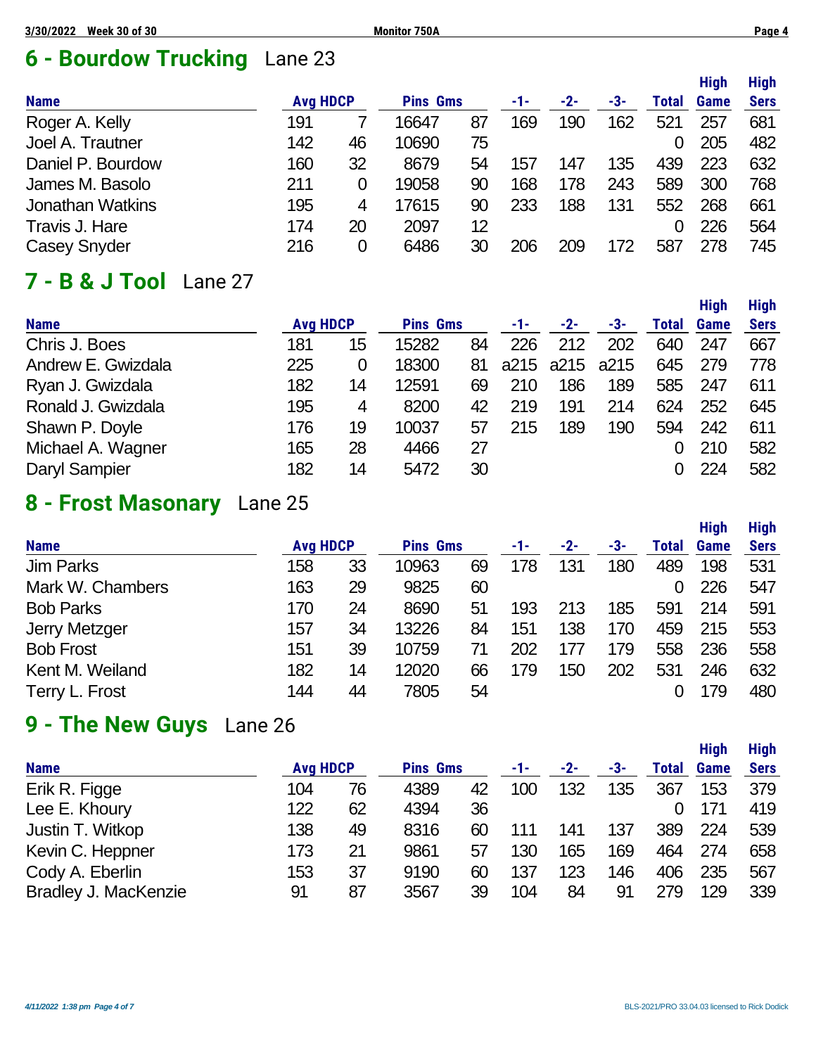# **6 - Bourdow Trucking** Lane 23

|                         |                 |    |                 |    |     |     |     |       | <b>High</b> | <b>High</b> |
|-------------------------|-----------------|----|-----------------|----|-----|-----|-----|-------|-------------|-------------|
| <b>Name</b>             | <b>Avg HDCP</b> |    | <b>Pins Gms</b> |    | -1- | -2- | -3- | Total | Game        | <b>Sers</b> |
| Roger A. Kelly          | 191             |    | 16647           | 87 | 169 | 190 | 162 | 521   | 257         | 681         |
| Joel A. Trautner        | 142             | 46 | 10690           | 75 |     |     |     | 0     | 205         | 482         |
| Daniel P. Bourdow       | 160             | 32 | 8679            | 54 | 157 | 147 | 135 | 439   | 223         | 632         |
| James M. Basolo         | 211             | 0  | 19058           | 90 | 168 | 178 | 243 | 589   | 300         | 768         |
| <b>Jonathan Watkins</b> | 195             | 4  | 17615           | 90 | 233 | 188 | 131 | 552   | 268         | 661         |
| Travis J. Hare          | 174             | 20 | 2097            | 12 |     |     |     |       | 226         | 564         |
| <b>Casey Snyder</b>     | 216             | 0  | 6486            | 30 | 206 | 209 | 172 | 587   | 278         | 745         |

### **7 - B & J Tool** Lane 27

| <b>Name</b>        | <b>Avg HDCP</b> |    | <b>Pins Gms</b> |    | -1- | $-2-$     | -3-  | Total | <b>Game</b> | <b>Sers</b> |
|--------------------|-----------------|----|-----------------|----|-----|-----------|------|-------|-------------|-------------|
| Chris J. Boes      | 181             | 15 | 15282           | 84 | 226 | 212       | 202  | 640   | 247         | 667         |
| Andrew E. Gwizdala | 225             | 0  | 18300           | 81 |     | a215 a215 | a215 | 645   | 279         | 778         |
| Ryan J. Gwizdala   | 182             | 14 | 12591           | 69 | 210 | 186       | 189  | 585   | 247         | 611         |
| Ronald J. Gwizdala | 195             | 4  | 8200            | 42 | 219 | 191       | 214  | 624   | 252         | 645         |
| Shawn P. Doyle     | 176             | 19 | 10037           | 57 | 215 | 189       | 190  | 594   | 242         | 611         |
| Michael A. Wagner  | 165             | 28 | 4466            | 27 |     |           |      |       | 210         | 582         |
| Daryl Sampier      | 182             | 14 | 5472            | 30 |     |           |      |       | 224         | 582         |
|                    |                 |    |                 |    |     |           |      |       |             |             |

## **8 - Frost Masonary** Lane 25

|                  |                 |    |                 |    |     |       |     |       | <b>High</b> | <b>High</b> |
|------------------|-----------------|----|-----------------|----|-----|-------|-----|-------|-------------|-------------|
| <b>Name</b>      | <b>Avg HDCP</b> |    | <b>Pins Gms</b> |    | -1- | $-2-$ | -3- | Total | <b>Game</b> | <b>Sers</b> |
| <b>Jim Parks</b> | 158             | 33 | 10963           | 69 | 178 | 131   | 180 | 489   | 198         | 531         |
| Mark W. Chambers | 163             | 29 | 9825            | 60 |     |       |     | 0     | 226         | 547         |
| <b>Bob Parks</b> | 170             | 24 | 8690            | 51 | 193 | 213   | 185 | 591   | 214         | 591         |
| Jerry Metzger    | 157             | 34 | 13226           | 84 | 151 | 138   | 170 | 459   | 215         | 553         |
| <b>Bob Frost</b> | 151             | 39 | 10759           | 71 | 202 | 177   | 179 | 558   | 236         | 558         |
| Kent M. Weiland  | 182             | 14 | 12020           | 66 | 179 | 150   | 202 | 531   | 246         | 632         |
| Terry L. Frost   | 144             | 44 | 7805            | 54 |     |       |     |       | 179         | 480         |

## **9 - The New Guys** Lane 26

| <b>Name</b>                 |     | <b>Avg HDCP</b> |      | <b>Pins Gms</b> |     | $-2-$ | -3- | <b>Total</b> | <b>Game</b> | <b>Sers</b> |
|-----------------------------|-----|-----------------|------|-----------------|-----|-------|-----|--------------|-------------|-------------|
| Erik R. Figge               | 104 | 76              | 4389 | 42              | 100 | 132   | 135 | 367          | 153         | 379         |
| Lee E. Khoury               | 122 | 62              | 4394 | 36              |     |       |     |              | 171         | 419         |
| Justin T. Witkop            | 138 | 49              | 8316 | 60              |     | 141   | 137 | 389          | 224         | 539         |
| Kevin C. Heppner            | 173 | 21              | 9861 | 57              | 130 | 165   | 169 | 464          | 274         | 658         |
| Cody A. Eberlin             | 153 | 37              | 9190 | 60              | 137 | 123   | 146 | 406          | 235         | 567         |
| <b>Bradley J. MacKenzie</b> | 91  | 87              | 3567 | 39              | 104 | 84    | 91  | 279          | 129         | 339         |
|                             |     |                 |      |                 |     |       |     |              |             |             |

**High High**

**High High**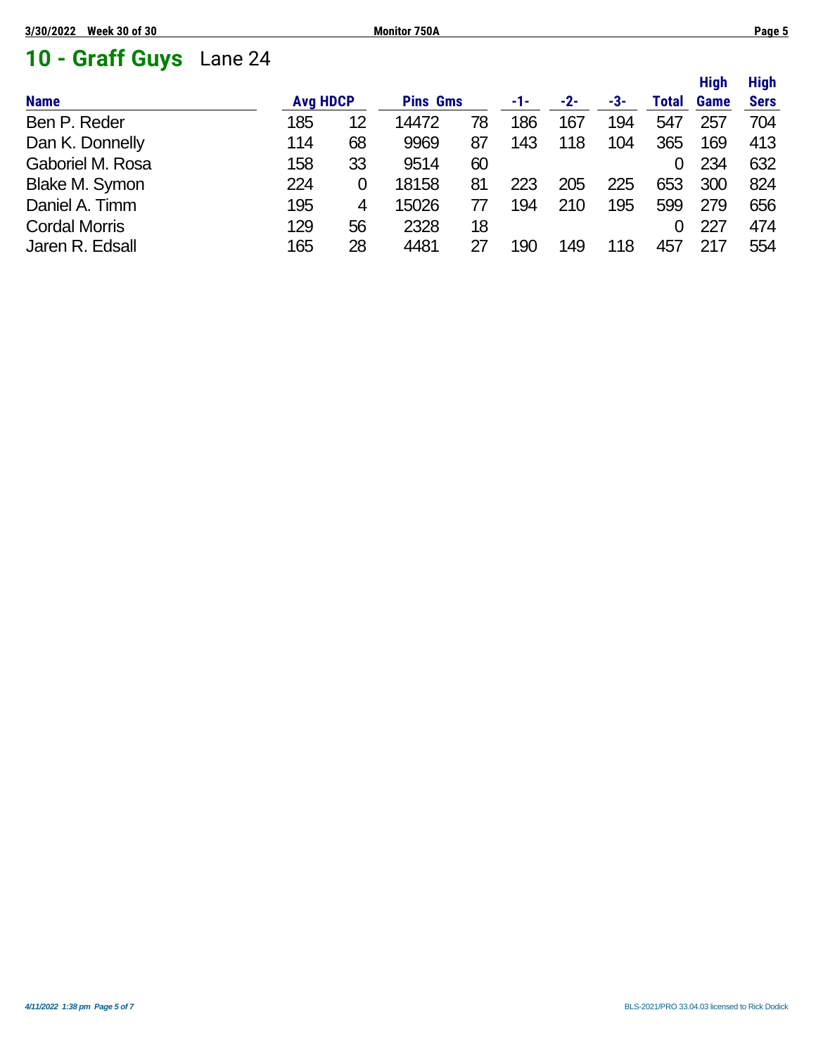# **10 - Graff Guys** Lane 24

|                      |                 |    |                 |    |     |       |     |              | <b>High</b> | <b>High</b> |
|----------------------|-----------------|----|-----------------|----|-----|-------|-----|--------------|-------------|-------------|
| <b>Name</b>          | <b>Avg HDCP</b> |    | <b>Pins Gms</b> |    | -1- | $-2-$ | -3- | <b>Total</b> | Game        | <b>Sers</b> |
| Ben P. Reder         | 185             | 12 | 14472           | 78 | 186 | 167   | 194 | 547          | 257         | 704         |
| Dan K. Donnelly      | 114             | 68 | 9969            | 87 | 143 | 118   | 104 | 365          | 169         | 413         |
| Gaboriel M. Rosa     | 158             | 33 | 9514            | 60 |     |       |     | 0            | 234         | 632         |
| Blake M. Symon       | 224             | 0  | 18158           | 81 | 223 | 205   | 225 | 653          | 300         | 824         |
| Daniel A. Timm       | 195             | 4  | 15026           |    | 194 | 210   | 195 | 599          | 279         | 656         |
| <b>Cordal Morris</b> | 129             | 56 | 2328            | 18 |     |       |     | 0            | 227         | 474         |
| Jaren R. Edsall      | 165             | 28 | 4481            | 27 | 190 | 149   | 118 | 457          | 217         | 554         |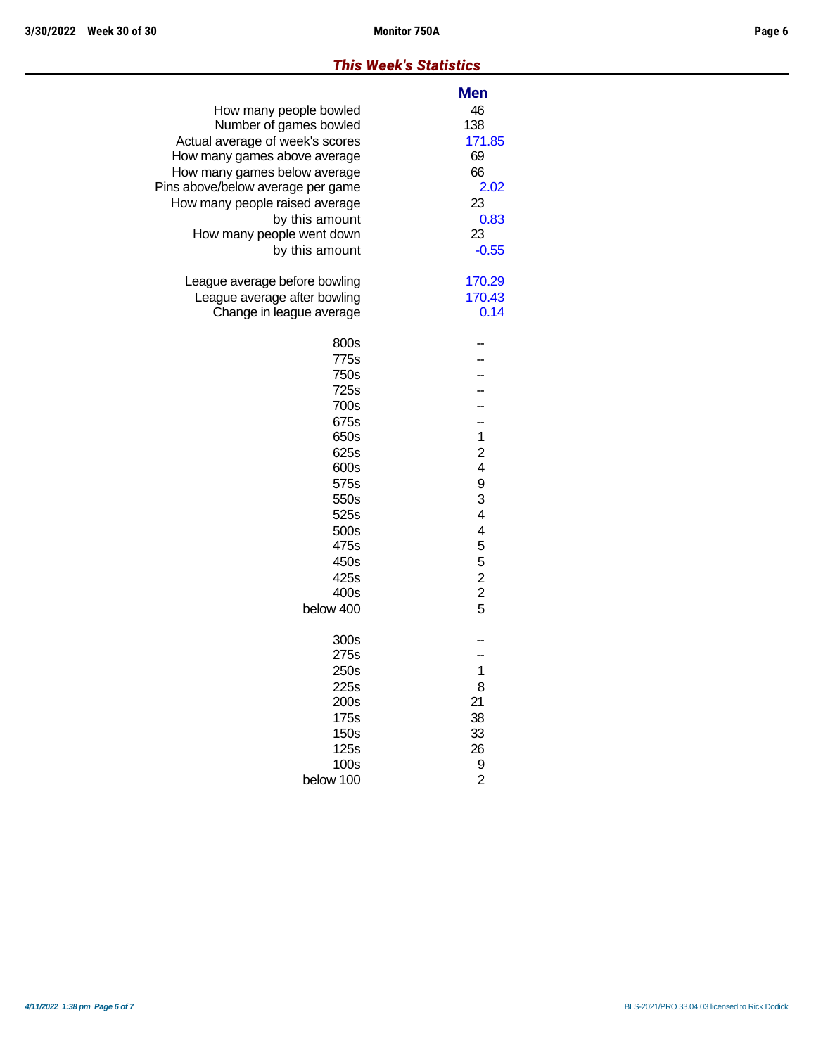#### *This Week's Statistics*

|                                   | <b>Men</b>     |
|-----------------------------------|----------------|
| How many people bowled            | 46             |
| Number of games bowled            | 138            |
| Actual average of week's scores   | 171.85         |
| How many games above average      | 69             |
| How many games below average      | 66             |
| Pins above/below average per game | 2.02           |
| How many people raised average    | 23             |
| by this amount                    | 0.83           |
| How many people went down         | 23             |
| by this amount                    | $-0.55$        |
| League average before bowling     | 170.29         |
| League average after bowling      | 170.43         |
| Change in league average          | 0.14           |
| 800s                              |                |
| 775s                              |                |
| 750s                              |                |
| 725s                              |                |
| 700s                              |                |
| 675s                              |                |
| 650s                              | $\mathbf 1$    |
| 625s                              | $\overline{c}$ |
| 600s                              | 4              |
| 575s                              | 9              |
| 550s                              | 3              |
| 525s                              | 4              |
| 500s                              | 4              |
| 475s                              | 5              |
| 450s                              | 5              |
| 425s                              |                |
| 400s                              | $\frac{2}{2}$  |
| below 400                         | 5              |
| 300s                              |                |
| 275s                              |                |
| 250s                              | $\overline{1}$ |
| 225s                              | 8              |
| 200s                              | 21             |
| 175s                              | 38             |
| 150s                              | 33             |
| 125s                              | 26             |
| 100s                              | 9              |
| below 100                         | $\overline{2}$ |
|                                   |                |